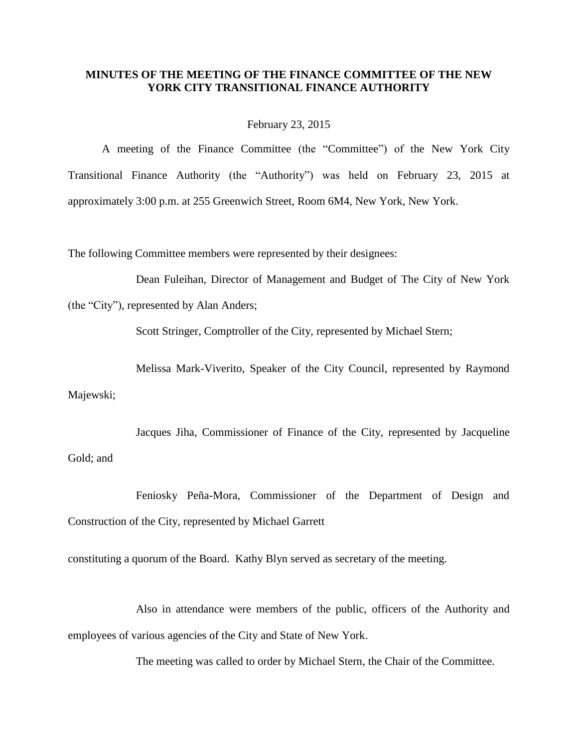## **MINUTES OF THE MEETING OF THE FINANCE COMMITTEE OF THE NEW YORK CITY TRANSITIONAL FINANCE AUTHORITY**

February 23, 2015

A meeting of the Finance Committee (the "Committee") of the New York City Transitional Finance Authority (the "Authority") was held on February 23, 2015 at approximately 3:00 p.m. at 255 Greenwich Street, Room 6M4, New York, New York.

The following Committee members were represented by their designees:

Dean Fuleihan, Director of Management and Budget of The City of New York

(the "City"), represented by Alan Anders;

Scott Stringer, Comptroller of the City, represented by Michael Stern;

Melissa Mark-Viverito, Speaker of the City Council, represented by Raymond Majewski;

Jacques Jiha, Commissioner of Finance of the City, represented by Jacqueline Gold; and

Feniosky Peña-Mora, Commissioner of the Department of Design and Construction of the City, represented by Michael Garrett

constituting a quorum of the Board. Kathy Blyn served as secretary of the meeting.

Also in attendance were members of the public, officers of the Authority and employees of various agencies of the City and State of New York.

The meeting was called to order by Michael Stern, the Chair of the Committee.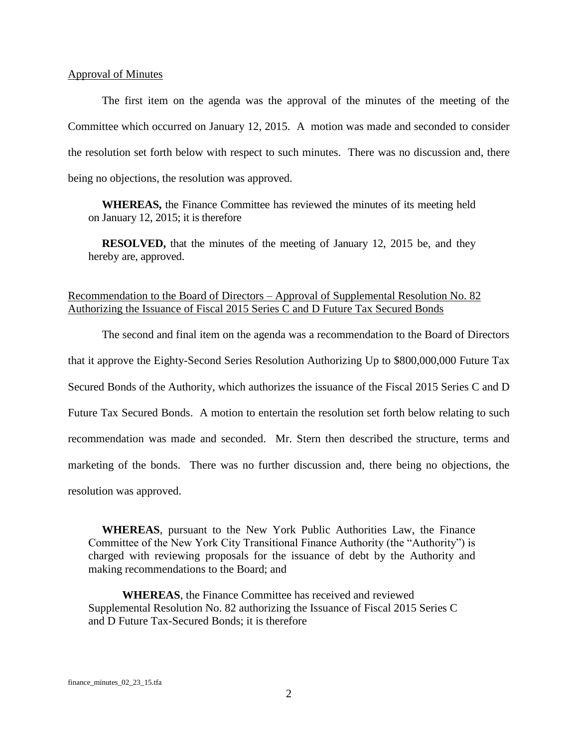## Approval of Minutes

The first item on the agenda was the approval of the minutes of the meeting of the Committee which occurred on January 12, 2015. A motion was made and seconded to consider the resolution set forth below with respect to such minutes. There was no discussion and, there being no objections, the resolution was approved.

**WHEREAS,** the Finance Committee has reviewed the minutes of its meeting held on January 12, 2015; it is therefore

**RESOLVED,** that the minutes of the meeting of January 12, 2015 be, and they hereby are, approved.

## Recommendation to the Board of Directors – Approval of Supplemental Resolution No. 82 Authorizing the Issuance of Fiscal 2015 Series C and D Future Tax Secured Bonds

The second and final item on the agenda was a recommendation to the Board of Directors that it approve the Eighty-Second Series Resolution Authorizing Up to \$800,000,000 Future Tax Secured Bonds of the Authority, which authorizes the issuance of the Fiscal 2015 Series C and D Future Tax Secured Bonds. A motion to entertain the resolution set forth below relating to such recommendation was made and seconded. Mr. Stern then described the structure, terms and marketing of the bonds. There was no further discussion and, there being no objections, the resolution was approved.

**WHEREAS**, pursuant to the New York Public Authorities Law, the Finance Committee of the New York City Transitional Finance Authority (the "Authority") is charged with reviewing proposals for the issuance of debt by the Authority and making recommendations to the Board; and

**WHEREAS**, the Finance Committee has received and reviewed Supplemental Resolution No. 82 authorizing the Issuance of Fiscal 2015 Series C and D Future Tax-Secured Bonds; it is therefore